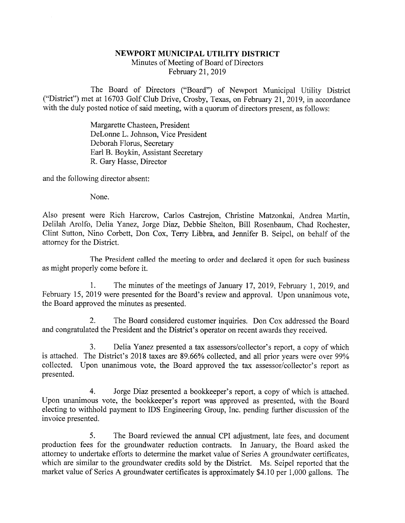## NEWPORT MUNICIPAL UTILITY DISTRICT

Minutes of Meeting of Board of Directors February 21, 2019

The Board of Directors ("Board") of Newport Municipal Utility District ("District") met at 16703 Golf Club Drive, Crosby, Texas, on Febmary 21, 2019, in accordance with the duly posted notice of said meeting, with a quorum of directors present, as follows:

> Margarette Chasteen, President DeLonne L. Johnson, Vice President Deborah Floms, Secretary Earl B. Boykin, Assistant Secretary R. Gary Hasse, Director

and the following director absent:

None.

Also present were Rich Harcrow, Carlos Castrejon, Christine Matzonkai, Andrea Martin, Delilah Arolfo, Delia Yanez, Jorge Diaz, Debbie Shelton, Bill Rosenbaum, Chad Rochester, Clint Sutton, Nino Corbett, Don Cox, Terry Libbra, and Jennifer B. Seipel, on behalf of the attorney for the District.

The President called the meeting to order and declared it open for such business as might properly come before it.

1. The minutes of the meetings of January 17, 2019, February 1, 2019, and February 15, 2019 were presented for the Board's review and approval. Upon unanimous vote, the Board approved the minutes as presented.

2. The Board considered customer inquiries. Don Cox addressed the Board and congratulated the President and the District's operator on recent awards they received.

3. Delia Yanez presented a tax assessors/collector's report, a copy of which is attached. The District's 2018 taxes are 89.66% collected, and all prior years were over 99% collected. Upon unanimous vote, the Board approved the tax assessor/collector's report as presented.

4. Jorge Diaz presented a bookkeeper's report, a copy of which is attached. Upon unanimous vote, the bookkeeper's report was approved as presented, with the Board electing to withhold payment to IDS Engineering Group, Inc. pending further discussion of the invoice presented.

5. The Board reviewed the annual CPI adjustment, late fees, and document production fees for the groundwater reduction contracts. In January, the Board asked the attorney to undertake efforts to determine the market value of Series A groundwater certificates, which are similar to the groundwater credits sold by the District. Ms. Seipel reported that the market value of Series A groundwater certificates is approximately \$4.10 per 1,000 gallons. The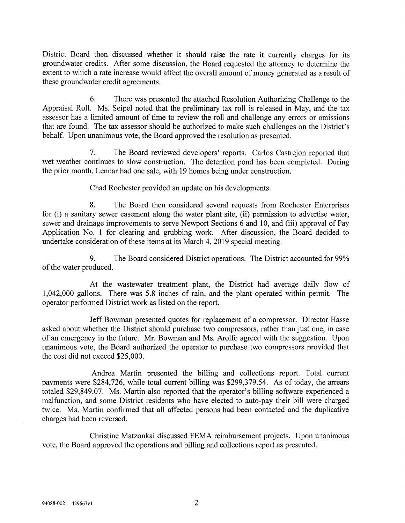District Board then discussed whether it should raise the rate it currently charges for its groundwater credits. After some discussion, the Board requested the attorney to determine the extent to which a rate increase would affect the overall amount of money generated as a result of these groundwater credit agreements.

6. There was presented the attached Resolution Authorizing Challenge to the Appraisal Roll. Ms. Seipel noted that the preliminary tax roll is released in May, and the tax assessor has a limited amount of time to review the roll and challenge any errors or omissions that are found. The tax assessor should be authorized to make such challenges on the District's behalf. Upon unanimous vote, the Board approved the resolution as presented.

7. The Board reviewed developers' reports. Carlos Castrejon reported that wet weather continues to slow construction. The detention pond has been completed. During the prior month, Lennar had one sale, with 19 homes being under construction.

Chad Rochester provided an update on his developments.

8. The Board then considered several requests from Rochester Enterprises for (i) a sanitary sewer easement along the water plant site, (ii) permission to advertise water, sewer and drainage improvements to serve Newport Sections 6 and 10, and (iii) approval of Pay Application No. 1 for clearing and grubbing work. After discussion, the Board decided to undertake consideration of these items at its March 4, 2019 special meeting.

9. The Board considered District operations. The District accounted for 99% of the water produced.

At the wastewater treatment plant, the District had average daily flow of 1,042,000 gallons. There was 5.8 inches of rain, and the plant operated within permit. The operator performed District work as listed on the report.

Jeff Bowman presented quotes for replacement of a compressor. Director Hasse asked about whether the District should purchase two compressors, rather than just one, in case of an emergency in the future. Mr. Bowman and Ms. Arolfo agreed with the suggestion. Upon unanimous vote, the Board authorized the operator to purchase two compressors provided that the cost did not exceed \$25,000.

Andrea Martin presented the billing and collections report. Total current payments were \$284,726, while total current billing was \$299,379.54. As of today, the arrears totaled \$29,849.07. Ms. Martin also reported that the operator's billing software experienced a malfunction, and some District residents who have elected to auto-pay their bill were charged twice. Ms. Martin confirmed that all affected persons had been contacted and the duplicative charges had been reversed.

Christine Matzonkai discussed FEMA reimbursement projects. Upon unanimous vote, the Board approved the operations and billing and collections report as presented.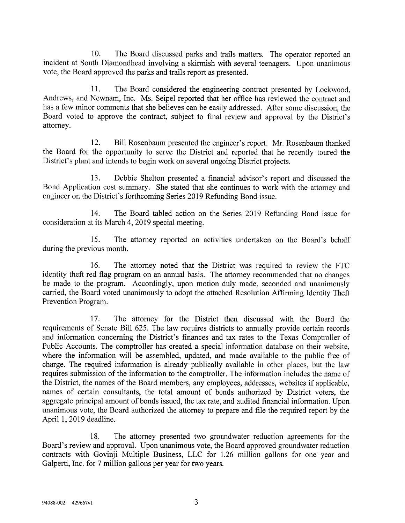10. The Board discussed parks and trails matters. The operator reported an incident at South Diamondhead involving a skirmish with several teenagers. Upon unanimous vote, the Board approved the parks and trails report as presented.

11. The Board considered the engineering contract presented by Lockwood, Andrews, and Newnam, Inc. Ms. Seipel reported that her office has reviewed the contract and has a few minor comments that she believes can be easily addressed. After some discussion, the Board voted to approve the contract, subject to final review and approval by the District's attorney.

12. Bill Rosenbaum presented the engineer's report. Mr. Rosenbaum thanked the Board for the opportunity to serve the District and reported that he recently toured the District's plant and intends to begin work on several ongoing District projects.

13. Debbie Shelton presented a financial advisor's report and discussed the Bond Application cost summary. She stated that she continues to work with the attorney and engineer on the District's forthcoming Series 2019 Refunding Bond issue.

14. The Board tabled action on the Series 2019 Refunding Bond issue for consideration at its March 4, 2019 special meeting.

15. The attorney reported on activities undertaken on the Board's behalf during the previous month.

16. The attorney noted that the District was required to review the FTC identity theft red flag program on an annual basis. The attorney recommended that no changes be made to the program. Accordingly, upon motion duly made, seconded and unanimously carried, the Board voted unanimously to adopt the attached Resolution Affirming Identity Theft Prevention Program.

17. The attorney for the District then discussed with the Board the requirements of Senate Bill 625. The law requires districts to annually provide certain records and information concerning the District's finances and tax rates to the Texas Comptroller of Public Accounts. The comptroller has created a special information database on their website, where the information will be assembled, updated, and made available to the public free of charge. The required information is already publically available in other places, but the law requires submission of the information to the comptroller. The information includes the name of the District, the names of the Board members, any employees, addresses, websites if applicable, names of certain consultants, the total amount of bonds authorized by District voters, the aggregate principal amount of bonds issued, the tax rate, and audited financial information. Upon unanimous vote, the Board authorized the attorney to prepare and file the required report by the April 1,2019 deadline.

18. The attorney presented two groundwater reduction agreements for the Board's review and approval. Upon unanimous vote, the Board approved groundwater reduction contracts with Govinji Multiple Business, LLC for 1.26 million gallons for one year and Galperti, Inc. for 7 million gallons per year for two years.